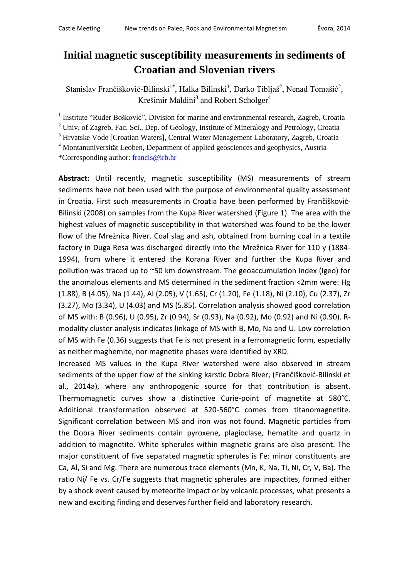## **Initial magnetic susceptibility measurements in sediments of Croatian and Slovenian rivers**

Stanislav Frančišković-Bilinski<sup>1\*</sup>, Halka Bilinski<sup>1</sup>, Darko Tibljaš<sup>2</sup>, Nenad Tomašić<sup>2</sup>, Krešimir Maldini<sup>3</sup> and Robert Scholger<sup>4</sup>

<sup>1</sup> Institute "Ruđer Bošković", Division for marine and environmental research, Zagreb, Croatia

 $2$  Univ. of Zagreb, Fac. Sci., Dep. of Geology, Institute of Mineralogy and Petrology, Croatia

<sup>3</sup> Hrvatske Vode [Croatian Waters], Central Water Management Laboratory, Zagreb, Croatia

<sup>4</sup> Montanuniversität Leoben, Department of applied geosciences and geophysics, Austria

\*Corresponding author: [francis@irb.hr](mailto:francis@irb.hr)

**Abstract:** Until recently, magnetic susceptibility (MS) measurements of stream sediments have not been used with the purpose of environmental quality assessment in Croatia. First such measurements in Croatia have been performed by Frančišković-Bilinski (2008) on samples from the Kupa River watershed (Figure 1). The area with the highest values of magnetic susceptibility in that watershed was found to be the lower flow of the Mrežnica River. Coal slag and ash, obtained from burning coal in a textile factory in Duga Resa was discharged directly into the Mrežnica River for 110 y (1884- 1994), from where it entered the Korana River and further the Kupa River and pollution was traced up to ~50 km downstream. The geoaccumulation index (Igeo) for the anomalous elements and MS determined in the sediment fraction <2mm were: Hg (1.88), B (4.05), Na (1.44), Al (2.05), V (1.65), Cr (1.20), Fe (1.18), Ni (2.10), Cu (2.37), Zr (3.27), Mo (3.34), U (4.03) and MS (5.85). Correlation analysis showed good correlation of MS with: B (0.96), U (0.95), Zr (0.94), Sr (0.93), Na (0.92), Mo (0.92) and Ni (0.90). Rmodality cluster analysis indicates linkage of MS with B, Mo, Na and U. Low correlation of MS with Fe (0.36) suggests that Fe is not present in a ferromagnetic form, especially as neither maghemite, nor magnetite phases were identified by XRD.

Increased MS values in the Kupa River watershed were also observed in stream sediments of the upper flow of the sinking karstic Dobra River, (Frančišković-Bilinski et al., 2014a), where any anthropogenic source for that contribution is absent. Thermomagnetic curves show a distinctive Curie-point of magnetite at 580°C. Additional transformation observed at 520-560°C comes from titanomagnetite. Significant correlation between MS and iron was not found. Magnetic particles from the Dobra River sediments contain pyroxene, plagioclase, hematite and quartz in addition to magnetite. White spherules within magnetic grains are also present. The major constituent of five separated magnetic spherules is Fe: minor constituents are Ca, Al, Si and Mg. There are numerous trace elements (Mn, K, Na, Ti, Ni, Cr, V, Ba). The ratio Ni/ Fe vs. Cr/Fe suggests that magnetic spherules are impactites, formed either by a shock event caused by meteorite impact or by volcanic processes, what presents a new and exciting finding and deserves further field and laboratory research.